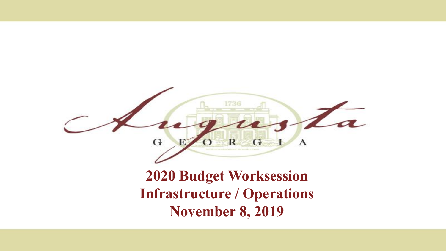

#### **2020 Budget Worksession Infrastructure / Operations November 8, 2019**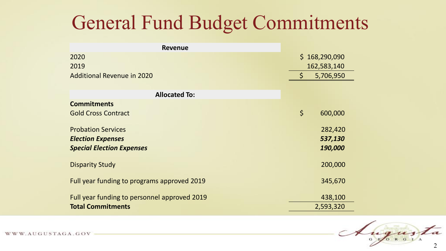### General Fund Budget Commitments

| <b>Revenue</b>                               |               |           |
|----------------------------------------------|---------------|-----------|
| 2020                                         | \$168,290,090 |           |
| 2019                                         | 162,583,140   |           |
| <b>Additional Revenue in 2020</b>            | $\varsigma$   | 5,706,950 |
|                                              |               |           |
| <b>Allocated To:</b>                         |               |           |
| <b>Commitments</b>                           |               |           |
| <b>Gold Cross Contract</b>                   | $\zeta$       | 600,000   |
|                                              |               |           |
| <b>Probation Services</b>                    |               | 282,420   |
| <b>Election Expenses</b>                     |               | 537,130   |
| <b>Special Election Expenses</b>             |               | 190,000   |
| <b>Disparity Study</b>                       |               | 200,000   |
| Full year funding to programs approved 2019  |               | 345,670   |
| Full year funding to personnel approved 2019 |               | 438,100   |
| <b>Total Commitments</b>                     |               | 2,593,320 |

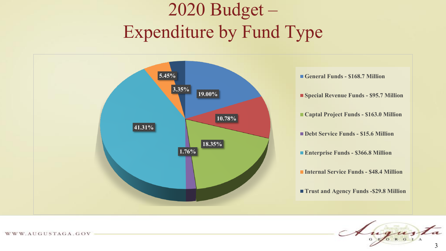## 2020 Budget – Expenditure by Fund Type



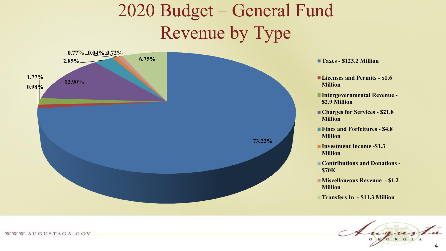### 2020 Budget – General Fund Revenue by Type



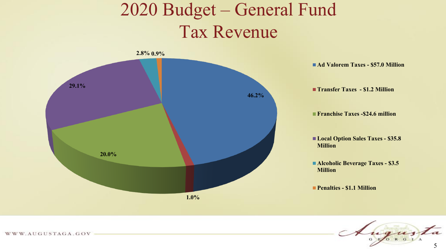#### 2020 Budget – General Fund Tax Revenue



**Ad Valorem Taxes - \$57.0 Million**

**Transfer Taxes - \$1.2 Million**

**Franchise Taxes -\$24.6 million**

**Local Option Sales Taxes - \$35.8 Million**

**Alcoholic Beverage Taxes - \$3.5 Million**

**Penalties - \$1.1 Million**

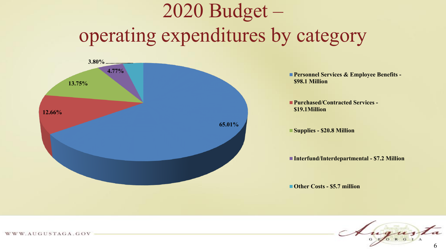# 2020 Budget – operating expenditures by category



**Personnel Services & Employee Benefits -\$98.1 Million**

**Purchased/Contracted Services - \$19.1Million**

**Supplies - \$20.8 Million**

**Interfund/Interdepartmental - \$7.2 Million**

**Other Costs - \$5.7 million**

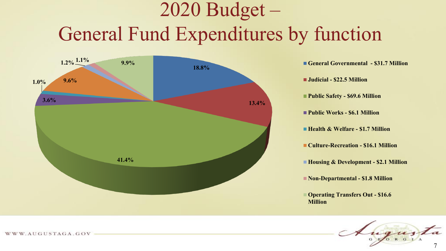# 2020 Budget – General Fund Expenditures by function



**Judicial - \$22.5 Million Public Safety - \$69.6 Million Public Works - \$6.1 Million Health & Welfare - \$1.7 Million Culture-Recreation - \$16.1 Million Housing & Development - \$2.1 Million Non-Departmental - \$1.8 Million Operating Transfers Out - \$16.6**

**Million**

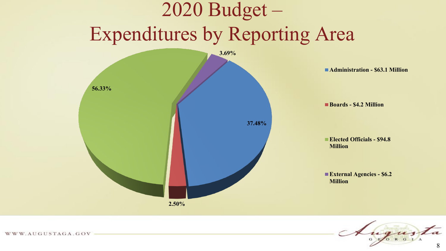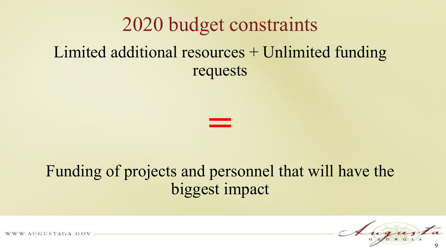#### 2020 budget constraints

#### Limited additional resources + Unlimited funding requests



#### Funding of projects and personnel that will have the biggest impact



AUGUSTAGA.GOV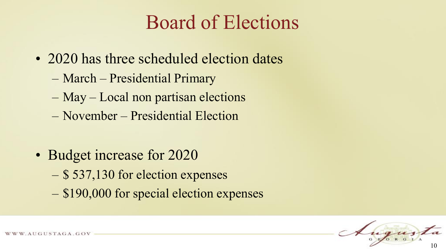## Board of Elections

- 2020 has three scheduled election dates
	- March Presidential Primary
	- May Local non partisan elections
	- November Presidential Election
- Budget increase for 2020
	- \$ 537,130 for election expenses
	- \$190,000 for special election expenses

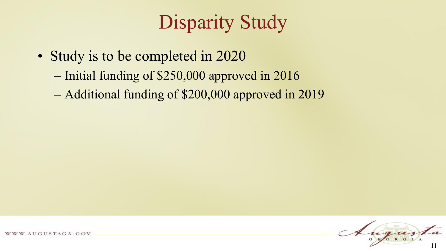# Disparity Study

- Study is to be completed in 2020
	- Initial funding of \$250,000 approved in 2016
	- Additional funding of \$200,000 approved in 2019

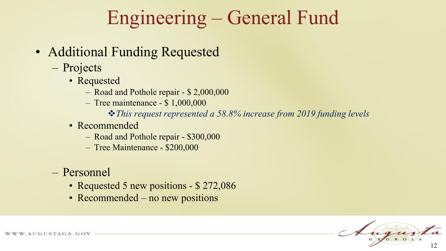## Engineering – General Fund

- Additional Funding Requested
	- Projects
		- Requested
			- Road and Pothole repair \$ 2,000,000
			- Tree maintenance \$ 1,000,000
				- *This request represented a 58.8% increase from 2019 funding levels*
		- Recommended
			- Road and Pothole repair \$300,000
			- Tree Maintenance \$200,000
	- Personnel
		- Requested 5 new positions \$ 272,086
		- Recommended no new positions

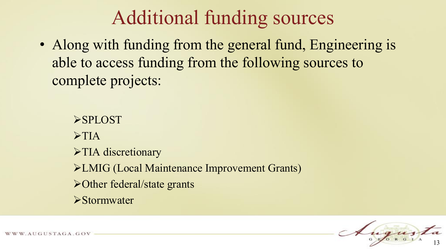## Additional funding sources

• Along with funding from the general fund, Engineering is able to access funding from the following sources to complete projects:

**>SPLOST**  $\triangleright$  TIA  $\triangleright$  TIA discretionary LMIG (Local Maintenance Improvement Grants) Other federal/state grants **>Stormwater** 

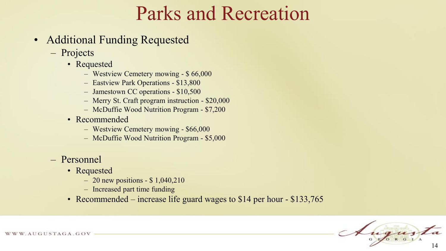### Parks and Recreation

- Additional Funding Requested
	- Projects
		- Requested
			- Westview Cemetery mowing \$ 66,000
			- Eastview Park Operations \$13,800
			- Jamestown CC operations \$10,500
			- Merry St. Craft program instruction \$20,000
			- McDuffie Wood Nutrition Program \$7,200
		- Recommended
			- Westview Cemetery mowing \$66,000
			- McDuffie Wood Nutrition Program \$5,000
	- Personnel
		- Requested
			- 20 new positions  $$1,040,210$
			- Increased part time funding
		- Recommended increase life guard wages to \$14 per hour \$133,765

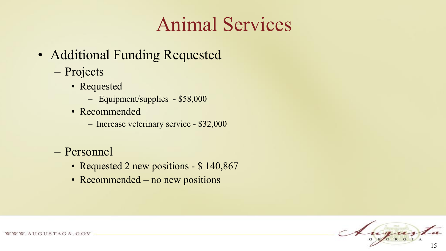## Animal Services

- Additional Funding Requested
	- Projects
		- Requested
			- Equipment/supplies \$58,000
		- Recommended
			- Increase veterinary service \$32,000
	- Personnel
		- Requested 2 new positions \$140,867
		- Recommended no new positions

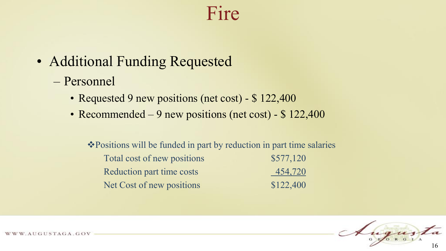#### Fire

- Additional Funding Requested
	- Personnel
		- Requested 9 new positions (net cost) \$ 122,400
		- Recommended 9 new positions (net cost) \$122,400

Positions will be funded in part by reduction in part time salaries Total cost of new positions \$577,120 Reduction part time costs 454,720 Net Cost of new positions \$122,400

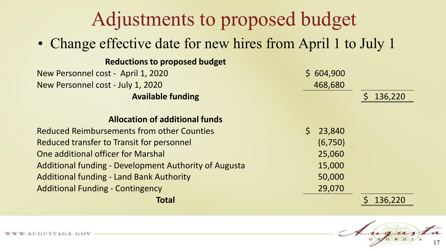### Adjustments to proposed budget

• Change effective date for new hires from April 1 to July 1

| <b>Reductions to proposed budget</b>                                        |         |
|-----------------------------------------------------------------------------|---------|
| New Personnel cost - April 1, 2020<br>\$604,900                             |         |
| New Personnel cost - July 1, 2020<br>468,680                                |         |
| <b>Available funding</b>                                                    | 136,220 |
| <b>Allocation of additional funds</b>                                       |         |
| <b>Reduced Reimbursements from other Counties</b><br>$\mathsf{S}$<br>23,840 |         |
| (6,750)<br>Reduced transfer to Transit for personnel                        |         |
| One additional officer for Marshal<br>25,060                                |         |
| <b>Additional funding - Development Authority of Augusta</b><br>15,000      |         |
| <b>Additional funding - Land Bank Authority</b><br>50,000                   |         |
| <b>Additional Funding - Contingency</b><br>29,070                           |         |
| Total                                                                       | 136,220 |

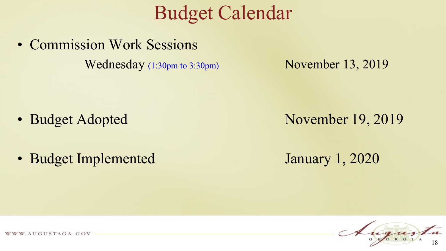#### Budget Calendar

• Commission Work Sessions Wednesday (1:30pm to 3:30pm) November 13, 2019

- 
- Budget Implemented January 1, 2020

• Budget Adopted November 19, 2019